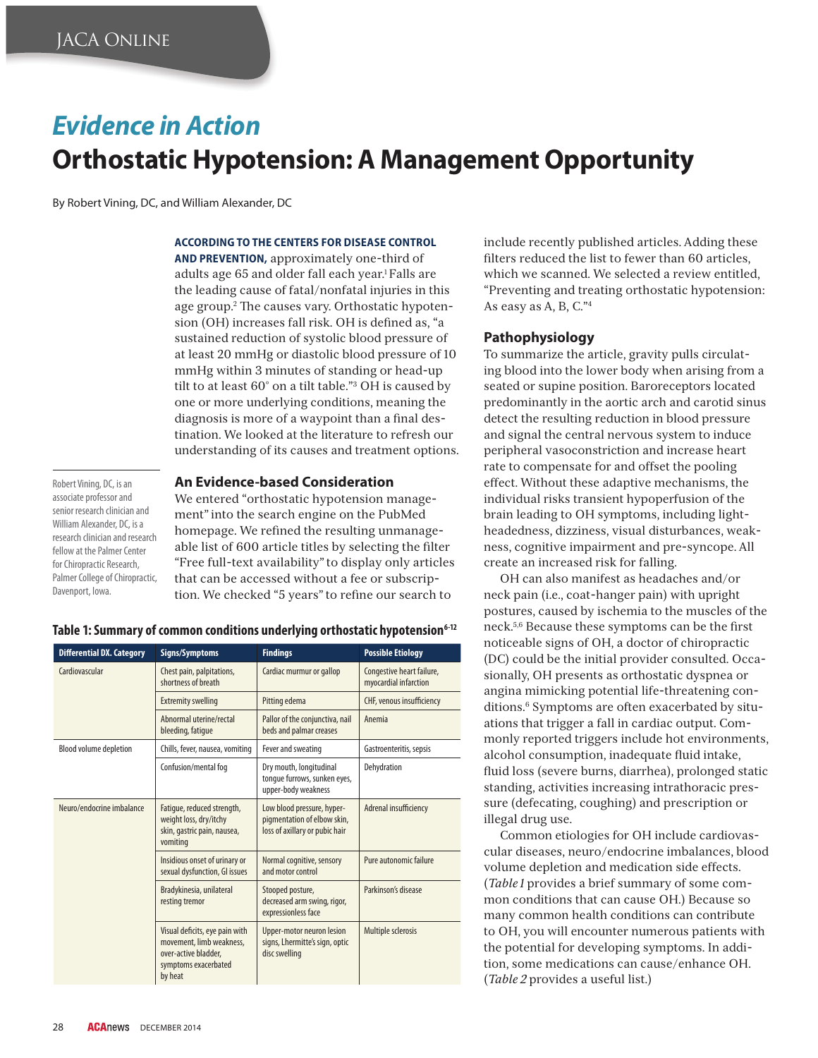# *Evidence in Action* **Orthostatic Hypotension: A Management Opportunity**

By Robert Vining, DC, and William Alexander, DC

#### **ACCORDING TO THE CENTERS FOR DISEASE CONTROL**

**AND PREVENTION,** approximately one-third of adults age 65 and older fall each year.<sup>1</sup> Falls are the leading cause of fatal/nonfatal injuries in this age group.<sup>2</sup> The causes vary. Orthostatic hypotension (OH) increases fall risk. OH is defined as, "a sustained reduction of systolic blood pressure of at least 20 mmHg or diastolic blood pressure of 10 mmHg within 3 minutes of standing or head-up tilt to at least 60° on a tilt table."3 OH is caused by one or more underlying conditions, meaning the diagnosis is more of a waypoint than a final destination. We looked at the literature to refresh our understanding of its causes and treatment options.

Robert Vining, DC, is an associate professor and senior research clinician and William Alexander, DC, is a research clinician and research fellow at the Palmer Center for Chiropractic Research, Palmer College of Chiropractic, Davenport, Iowa.

### **An Evidence-based Consideration**

We entered "orthostatic hypotension management" into the search engine on the PubMed homepage. We refined the resulting unmanageable list of 600 article titles by selecting the filter "Free full-text availability" to display only articles that can be accessed without a fee or subscription. We checked "5 years" to refine our search to

| Table 1: Summary of common conditions underlying orthostatic hypotension <sup>6-12</sup> |  |  |  |  |  |
|------------------------------------------------------------------------------------------|--|--|--|--|--|
|------------------------------------------------------------------------------------------|--|--|--|--|--|

| <b>Differential DX. Category</b> | Signs/Symptoms                                                                                                        | <b>Findings</b>                                                                             | <b>Possible Etiology</b>                           |
|----------------------------------|-----------------------------------------------------------------------------------------------------------------------|---------------------------------------------------------------------------------------------|----------------------------------------------------|
| Cardiovascular                   | Chest pain, palpitations,<br>shortness of breath                                                                      | Cardiac murmur or gallop                                                                    | Congestive heart failure,<br>myocardial infarction |
|                                  | <b>Extremity swelling</b>                                                                                             | Pitting edema                                                                               | CHF, venous insufficiency                          |
|                                  | Abnormal uterine/rectal<br>bleeding, fatique                                                                          | Pallor of the conjunctiva, nail<br>beds and palmar creases                                  | Anemia                                             |
| <b>Blood volume depletion</b>    | Chills, fever, nausea, vomiting                                                                                       | Fever and sweating                                                                          | Gastroenteritis, sepsis                            |
|                                  | Confusion/mental fog                                                                                                  | Dry mouth, longitudinal<br>tonque furrows, sunken eyes,<br>upper-body weakness              | Dehydration                                        |
| Neuro/endocrine imbalance        | Fatique, reduced strength,<br>weight loss, dry/itchy<br>skin, gastric pain, nausea,<br>vomiting                       | Low blood pressure, hyper-<br>pigmentation of elbow skin,<br>loss of axillary or pubic hair | Adrenal insufficiency                              |
|                                  | Insidious onset of urinary or<br>sexual dysfunction, GI issues                                                        | Normal cognitive, sensory<br>and motor control                                              | Pure autonomic failure                             |
|                                  | Bradykinesia, unilateral<br>resting tremor                                                                            | Stooped posture,<br>decreased arm swing, rigor,<br>expressionless face                      | Parkinson's disease                                |
|                                  | Visual deficits, eye pain with<br>movement, limb weakness,<br>over-active bladder,<br>symptoms exacerbated<br>by heat | Upper-motor neuron lesion<br>signs, Lhermitte's sign, optic<br>disc swelling                | Multiple sclerosis                                 |

include recently published articles. Adding these filters reduced the list to fewer than 60 articles. which we scanned. We selected a review entitled, "Preventing and treating orthostatic hypotension: As easy as A, B, C."4

#### **Pathophysiology**

To summarize the article, gravity pulls circulating blood into the lower body when arising from a seated or supine position. Baroreceptors located predominantly in the aortic arch and carotid sinus detect the resulting reduction in blood pressure and signal the central nervous system to induce peripheral vasoconstriction and increase heart rate to compensate for and offset the pooling effect. Without these adaptive mechanisms, the individual risks transient hypoperfusion of the brain leading to OH symptoms, including lightheadedness, dizziness, visual disturbances, weakness, cognitive impairment and pre-syncope. All create an increased risk for falling.

OH can also manifest as headaches and/or neck pain (i.e., coat-hanger pain) with upright postures, caused by ischemia to the muscles of the neck.<sup>5,6</sup> Because these symptoms can be the first noticeable signs of OH, a doctor of chiropractic (DC) could be the initial provider consulted. Occasionally, OH presents as orthostatic dyspnea or angina mimicking potential life-threatening conditions.6 Symptoms are often exacerbated by situations that trigger a fall in cardiac output. Commonly reported triggers include hot environments, alcohol consumption, inadequate fluid intake, fluid loss (severe burns, diarrhea), prolonged static standing, activities increasing intrathoracic pressure (defecating, coughing) and prescription or illegal drug use.

Common etiologies for OH include cardiovascular diseases, neuro/endocrine imbalances, blood volume depletion and medication side effects. (*Table 1* provides a brief summary of some common conditions that can cause OH.) Because so many common health conditions can contribute to OH, you will encounter numerous patients with the potential for developing symptoms. In addition, some medications can cause/enhance OH. (*Table 2* provides a useful list.)